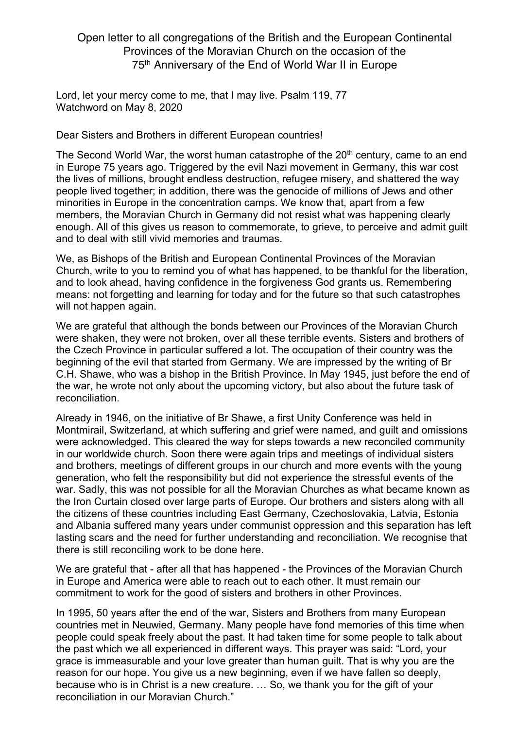## Open letter to all congregations of the British and the European Continental Provinces of the Moravian Church on the occasion of the 75th Anniversary of the End of World War II in Europe

Lord, let your mercy come to me, that I may live. Psalm 119, 77 Watchword on May 8, 2020

Dear Sisters and Brothers in different European countries!

The Second World War, the worst human catastrophe of the  $20<sup>th</sup>$  century, came to an end in Europe 75 years ago. Triggered by the evil Nazi movement in Germany, this war cost the lives of millions, brought endless destruction, refugee misery, and shattered the way people lived together; in addition, there was the genocide of millions of Jews and other minorities in Europe in the concentration camps. We know that, apart from a few members, the Moravian Church in Germany did not resist what was happening clearly enough. All of this gives us reason to commemorate, to grieve, to perceive and admit guilt and to deal with still vivid memories and traumas.

We, as Bishops of the British and European Continental Provinces of the Moravian Church, write to you to remind you of what has happened, to be thankful for the liberation, and to look ahead, having confidence in the forgiveness God grants us. Remembering means: not forgetting and learning for today and for the future so that such catastrophes will not happen again.

We are grateful that although the bonds between our Provinces of the Moravian Church were shaken, they were not broken, over all these terrible events. Sisters and brothers of the Czech Province in particular suffered a lot. The occupation of their country was the beginning of the evil that started from Germany. We are impressed by the writing of Br C.H. Shawe, who was a bishop in the British Province. In May 1945, just before the end of the war, he wrote not only about the upcoming victory, but also about the future task of reconciliation.

Already in 1946, on the initiative of Br Shawe, a first Unity Conference was held in Montmirail, Switzerland, at which suffering and grief were named, and guilt and omissions were acknowledged. This cleared the way for steps towards a new reconciled community in our worldwide church. Soon there were again trips and meetings of individual sisters and brothers, meetings of different groups in our church and more events with the young generation, who felt the responsibility but did not experience the stressful events of the war. Sadly, this was not possible for all the Moravian Churches as what became known as the Iron Curtain closed over large parts of Europe. Our brothers and sisters along with all the citizens of these countries including East Germany, Czechoslovakia, Latvia, Estonia and Albania suffered many years under communist oppression and this separation has left lasting scars and the need for further understanding and reconciliation. We recognise that there is still reconciling work to be done here.

We are grateful that - after all that has happened - the Provinces of the Moravian Church in Europe and America were able to reach out to each other. It must remain our commitment to work for the good of sisters and brothers in other Provinces.

In 1995, 50 years after the end of the war, Sisters and Brothers from many European countries met in Neuwied, Germany. Many people have fond memories of this time when people could speak freely about the past. It had taken time for some people to talk about the past which we all experienced in different ways. This prayer was said: "Lord, your grace is immeasurable and your love greater than human guilt. That is why you are the reason for our hope. You give us a new beginning, even if we have fallen so deeply, because who is in Christ is a new creature. … So, we thank you for the gift of your reconciliation in our Moravian Church."